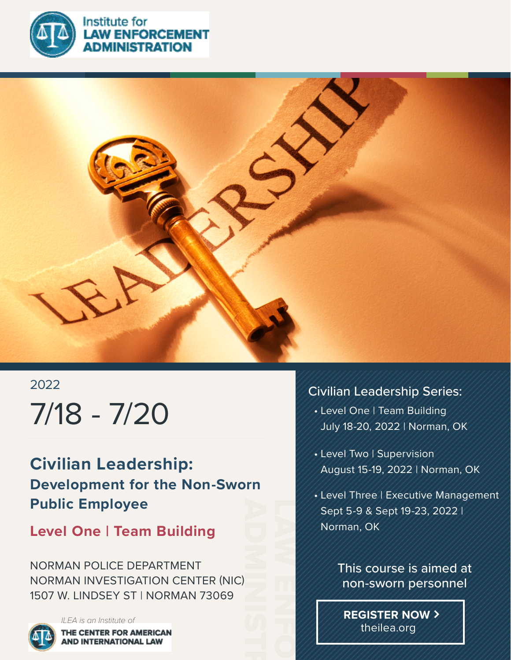

**NISTRATION** 



# 2022 7/18 - 7/20

**Civilian Leadership: Development for the Non-Sworn Public Employee**

## **Level One | Team Building**

NORMAN POLICE DEPARTMENT NORMAN INVESTIGATION CENTER (NIC) 1507 W. LINDSEY ST | NORMAN 73069



## Civilian Leadership Series:

- Level One | Team Building July 18-20, 2022 | Norman, OK
- Level Two | Supervision August 15-19, 2022 | Norman, OK
- Level Three | Executive Management Sept 5-9 & Sept 19-23, 2022 | Norman, OK



**REGISTER NOW** theilea.org

LAW ENFORCEMENT